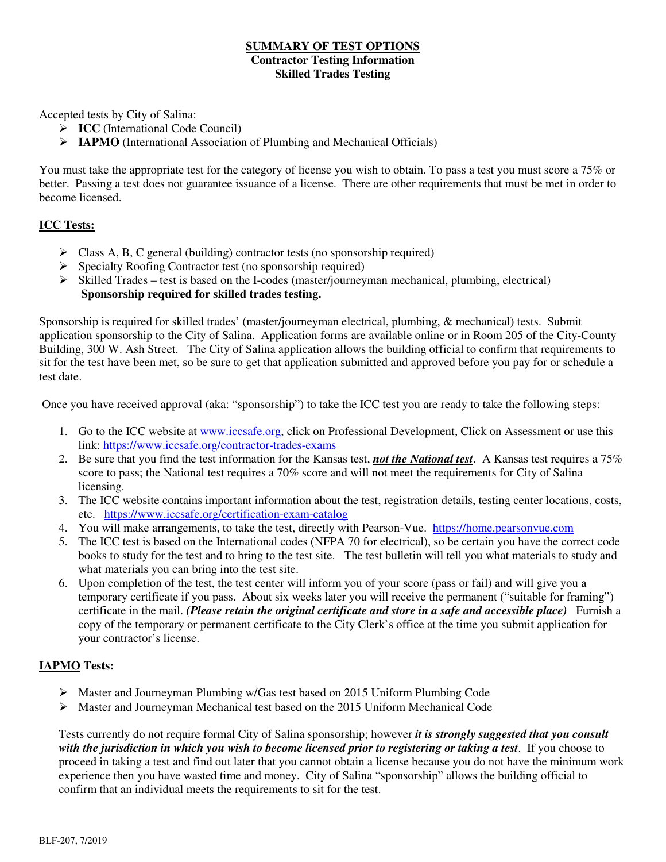## **SUMMARY OF TEST OPTIONS Contractor Testing Information Skilled Trades Testing**

Accepted tests by City of Salina:

- **ICC** (International Code Council)
- **IAPMO** (International Association of Plumbing and Mechanical Officials)

You must take the appropriate test for the category of license you wish to obtain. To pass a test you must score a 75% or better. Passing a test does not guarantee issuance of a license. There are other requirements that must be met in order to become licensed.

## **ICC Tests:**

- $\triangleright$  Class A, B, C general (building) contractor tests (no sponsorship required)
- $\triangleright$  Specialty Roofing Contractor test (no sponsorship required)
- $\triangleright$  Skilled Trades test is based on the I-codes (master/journeyman mechanical, plumbing, electrical) **Sponsorship required for skilled trades testing.**

Sponsorship is required for skilled trades' (master/journeyman electrical, plumbing, & mechanical) tests. Submit application sponsorship to the City of Salina. Application forms are available online or in Room 205 of the City-County Building, 300 W. Ash Street. The City of Salina application allows the building official to confirm that requirements to sit for the test have been met, so be sure to get that application submitted and approved before you pay for or schedule a test date.

Once you have received approval (aka: "sponsorship") to take the ICC test you are ready to take the following steps:

- 1. Go to the ICC website at www.iccsafe.org, click on Professional Development, Click on Assessment or use this link: https://www.iccsafe.org/contractor-trades-exams
- 2. Be sure that you find the test information for the Kansas test, *not the National test*. A Kansas test requires a 75% score to pass; the National test requires a 70% score and will not meet the requirements for City of Salina licensing.
- 3. The ICC website contains important information about the test, registration details, testing center locations, costs, etc. https://www.iccsafe.org/certification-exam-catalog
- 4. You will make arrangements, to take the test, directly with Pearson-Vue. https://home.pearsonvue.com
- 5. The ICC test is based on the International codes (NFPA 70 for electrical), so be certain you have the correct code books to study for the test and to bring to the test site. The test bulletin will tell you what materials to study and what materials you can bring into the test site.
- 6. Upon completion of the test, the test center will inform you of your score (pass or fail) and will give you a temporary certificate if you pass. About six weeks later you will receive the permanent ("suitable for framing") certificate in the mail. *(Please retain the original certificate and store in a safe and accessible place)* Furnish a copy of the temporary or permanent certificate to the City Clerk's office at the time you submit application for your contractor's license.

## **IAPMO Tests:**

- $\triangleright$  Master and Journeyman Plumbing w/Gas test based on 2015 Uniform Plumbing Code
- Master and Journeyman Mechanical test based on the 2015 Uniform Mechanical Code

Tests currently do not require formal City of Salina sponsorship; however *it is strongly suggested that you consult with the jurisdiction in which you wish to become licensed prior to registering or taking a test*. If you choose to proceed in taking a test and find out later that you cannot obtain a license because you do not have the minimum work experience then you have wasted time and money. City of Salina "sponsorship" allows the building official to confirm that an individual meets the requirements to sit for the test.